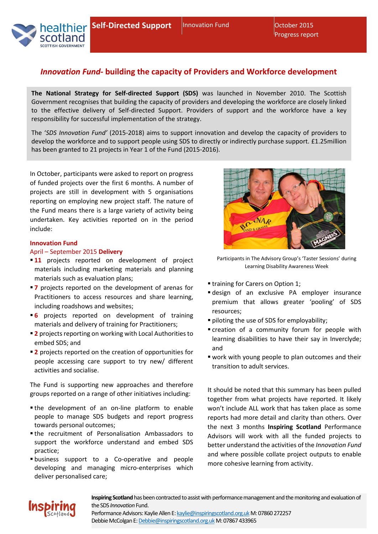

# *Innovation Fund***- building the capacity of Providers and Workforce development**

**The National Strategy for Self-directed Support (SDS)** was launched in November 2010. The Scottish Government recognises that building the capacity of providers and developing the workforce are closely linked to the effective delivery of Self-directed Support. Providers of support and the workforce have a key responsibility for successful implementation of the strategy.

The '*SDS Innovation Fund'* (2015-2018) aims to support innovation and develop the capacity of providers to develop the workforce and to support people using SDS to directly or indirectly purchase support. £1.25million has been granted to 21 projects in Year 1 of the Fund (2015-2016).

In October, participants were asked to report on progress of funded projects over the first 6 months. A number of projects are still in development with 5 organisations reporting on employing new project staff. The nature of the Fund means there is a large variety of activity being undertaken. Key activities reported on in the period include:

# **Innovation Fund**

# April – September 2015 **Delivery**

- **11** projects reported on development of project materials including marketing materials and planning materials such as evaluation plans;
- **7** projects reported on the development of arenas for Practitioners to access resources and share learning, including roadshows and websites;
- **6** projects reported on development of training materials and delivery of training for Practitioners;
- **2** projects reporting on working with Local Authorities to embed SDS; and
- **2** projects reported on the creation of opportunities for people accessing care support to try new/ different activities and socialise.

The Fund is supporting new approaches and therefore groups reported on a range of other initiatives including:

- the development of an on-line platform to enable people to manage SDS budgets and report progress towards personal outcomes;
- the recruitment of Personalisation Ambassadors to support the workforce understand and embed SDS practice;
- business support to a Co-operative and people developing and managing micro-enterprises which deliver personalised care;



Participants in The Advisory Group's 'Taster Sessions' during Learning Disability Awareness Week

- **\*** training for Carers on Option 1;
- design of an exclusive PA employer insurance premium that allows greater 'pooling' of SDS resources;
- piloting the use of SDS for employability;
- creation of a community forum for people with learning disabilities to have their say in Inverclyde; and
- work with young people to plan outcomes and their transition to adult services.

It should be noted that this summary has been pulled together from what projects have reported. It likely won't include ALL work that has taken place as some reports had more detail and clarity than others. Over the next 3 months **Inspiring Scotland** Performance Advisors will work with all the funded projects to better understand the activities of the *Innovation Fund*  and where possible collate project outputs to enable more cohesive learning from activity.



**Inspiring Scotland** has been contracted to assist with performance management and the monitoring and evaluation of the SDS *Innovation* Fund. Performance Advisors: Kaylie Allen E: kaylie@inspiringscotland.org.uk M: 07860 272257

Debbie McColgan E: Debbie@inspiringscotland.org.uk M: 07867 433965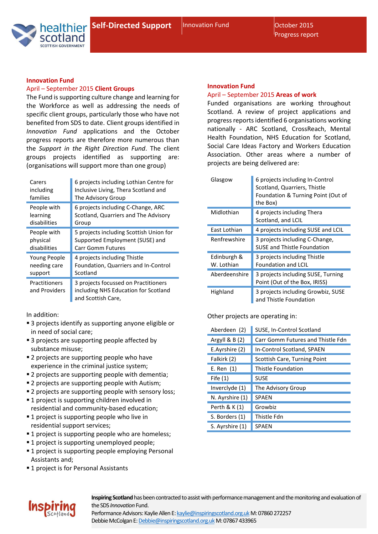Innovation Fund **October 2015** Progress report



# **Innovation Fund**

# April – September 2015 **Client Groups**

The Fund is supporting culture change and learning for the Workforce as well as addressing the needs of specific client groups, particularly those who have not benefited from SDS to date. Client groups identified in *Innovation Fund* applications and the October progress reports are therefore more numerous than the *Support in the Right Direction Fund*. The client groups projects identified as supporting are: (organisations will support more than one group)

| Carers                         | 6 projects including Lothian Centre for                                                            |
|--------------------------------|----------------------------------------------------------------------------------------------------|
| including                      | Inclusive Living, Thera Scotland and                                                               |
| families                       | The Advisory Group                                                                                 |
| People with                    | 6 projects including C-Change, ARC                                                                 |
| learning                       | Scotland, Quarriers and The Advisory                                                               |
| disabilities                   | Group                                                                                              |
| People with                    | 5 projects including Scottish Union for                                                            |
| physical                       | Supported Employment (SUSE) and                                                                    |
| disabilities                   | <b>Carr Gomm Futures</b>                                                                           |
| Young People                   | 4 projects including Thistle                                                                       |
| needing care                   | Foundation, Quarriers and In-Control                                                               |
| support                        | Scotland                                                                                           |
| Practitioners<br>and Providers | 3 projects focussed on Practitioners<br>including NHS Education for Scotland<br>and Scottish Care, |

In addition:

- 3 projects identify as supporting anyone eligible or in need of social care;
- 3 projects are supporting people affected by substance misuse;
- **2** projects are supporting people who have experience in the criminal justice system:
- **2** projects are supporting people with dementia;
- **2** projects are supporting people with Autism;
- **2** projects are supporting people with sensory loss;
- **1** project is supporting children involved in residential and community-based education;
- **1** project is supporting people who live in residential support services;
- **1** project is supporting people who are homeless;
- **1** project is supporting unemployed people;
- **1** project is supporting people employing Personal Assistants and;
- **1 project is for Personal Assistants**

#### **Innovation Fund**

### April – September 2015 **Areas of work**

Funded organisations are working throughout Scotland. A review of project applications and progress reports identified 6 organisations working nationally - ARC Scotland, CrossReach, Mental Health Foundation, NHS Education for Scotland, Social Care Ideas Factory and Workers Education Association. Other areas where a number of projects are being delivered are:

| Glasgow                   | 6 projects including In-Control<br>Scotland, Quarriers, Thistle<br>Foundation & Turning Point (Out of<br>the Box) |
|---------------------------|-------------------------------------------------------------------------------------------------------------------|
| Midlothian                | 4 projects including Thera<br>Scotland, and LCIL                                                                  |
| East Lothian              | 4 projects including SUSE and LCIL                                                                                |
| Renfrewshire              | 3 projects including C-Change,<br><b>SUSE and Thistle Foundation</b>                                              |
| Edinburgh &<br>W. Lothian | 3 projects including Thistle<br><b>Foundation and LCIL</b>                                                        |
| Aberdeenshire             | 3 projects including SUSE, Turning<br>Point (Out of the Box, IRISS)                                               |
| <b>Highland</b>           | 3 projects including Growbiz, SUSE<br>and Thistle Foundation                                                      |

Other projects are operating in:

| Aberdeen (2)     | SUSE, In-Control Scotland         |
|------------------|-----------------------------------|
| Argyll $\& B(2)$ | Carr Gomm Futures and Thistle Fdn |
| E.Ayrshire (2)   | In-Control Scotland, SPAEN        |
| Falkirk (2)      | Scottish Care, Turning Point      |
| E. Ren (1)       | Thistle Foundation                |
| Fife $(1)$       | <b>SUSE</b>                       |
| Inverclyde (1)   | The Advisory Group                |
| N. Ayrshire (1)  | <b>SPAEN</b>                      |
| Perth & K (1)    | Growbiz                           |
| S. Borders (1)   | Thistle Fdn                       |
| S. Ayrshire (1)  | <b>SPAEN</b>                      |



**Inspiring Scotland** has been contracted to assist with performance management and the monitoring and evaluation of the SDS *Innovation* Fund.

Performance Advisors: Kaylie Allen E: kaylie@inspiringscotland.org.uk M: 07860 272257 Debbie McColgan E: Debbie@inspiringscotland.org.uk M: 07867 433965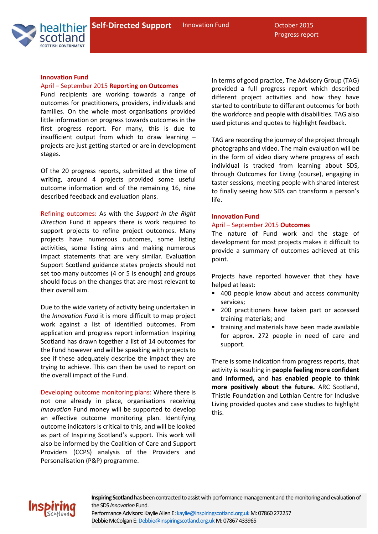Progress report



**Innovation Fund** 

#### April – September 2015 **Reporting on Outcomes**

Fund recipients are working towards a range of outcomes for practitioners, providers, individuals and families. On the whole most organisations provided little information on progress towards outcomes in the first progress report. For many, this is due to insufficient output from which to draw learning – projects are just getting started or are in development stages.

Of the 20 progress reports, submitted at the time of writing, around 4 projects provided some useful outcome information and of the remaining 16, nine described feedback and evaluation plans.

Refining outcomes: As with the *Support in the Right Direction* Fund it appears there is work required to support projects to refine project outcomes. Many projects have numerous outcomes, some listing activities, some listing aims and making numerous impact statements that are very similar. Evaluation Support Scotland guidance states projects should not set too many outcomes (4 or 5 is enough) and groups should focus on the changes that are most relevant to their overall aim.

Due to the wide variety of activity being undertaken in the *Innovation Fund* it is more difficult to map project work against a list of identified outcomes. From application and progress report information Inspiring Scotland has drawn together a list of 14 outcomes for the Fund however and will be speaking with projects to see if these adequately describe the impact they are trying to achieve. This can then be used to report on the overall impact of the Fund.

Developing outcome monitoring plans: Where there is not one already in place, organisations receiving *Innovation* Fund money will be supported to develop an effective outcome monitoring plan. Identifying outcome indicators is critical to this, and will be looked as part of Inspiring Scotland's support. This work will also be informed by the Coalition of Care and Support Providers (CCPS) analysis of the Providers and Personalisation (P&P) programme.

In terms of good practice, The Advisory Group (TAG) provided a full progress report which described different project activities and how they have started to contribute to different outcomes for both the workforce and people with disabilities. TAG also used pictures and quotes to highlight feedback.

TAG are recording the journey of the project through photographs and video. The main evaluation will be in the form of video diary where progress of each individual is tracked from learning about SDS, through Outcomes for Living (course), engaging in taster sessions, meeting people with shared interest to finally seeing how SDS can transform a person's life.

#### **Innovation Fund**

#### April – September 2015 **Outcomes**

The nature of Fund work and the stage of development for most projects makes it difficult to provide a summary of outcomes achieved at this point.

Projects have reported however that they have helped at least:

- 400 people know about and access community services;
- 200 practitioners have taken part or accessed training materials; and
- training and materials have been made available for approx. 272 people in need of care and support.

There is some indication from progress reports, that activity is resulting in **people feeling more confident and informed,** and **has enabled people to think more positively about the future.** ARC Scotland, Thistle Foundation and Lothian Centre for Inclusive Living provided quotes and case studies to highlight this.



**Inspiring Scotland** has been contracted to assist with performance management and the monitoring and evaluation of the SDS *Innovation* Fund. Performance Advisors: Kaylie Allen E: kaylie@inspiringscotland.org.uk M: 07860 272257 Debbie McColgan E: Debbie@inspiringscotland.org.uk M: 07867 433965